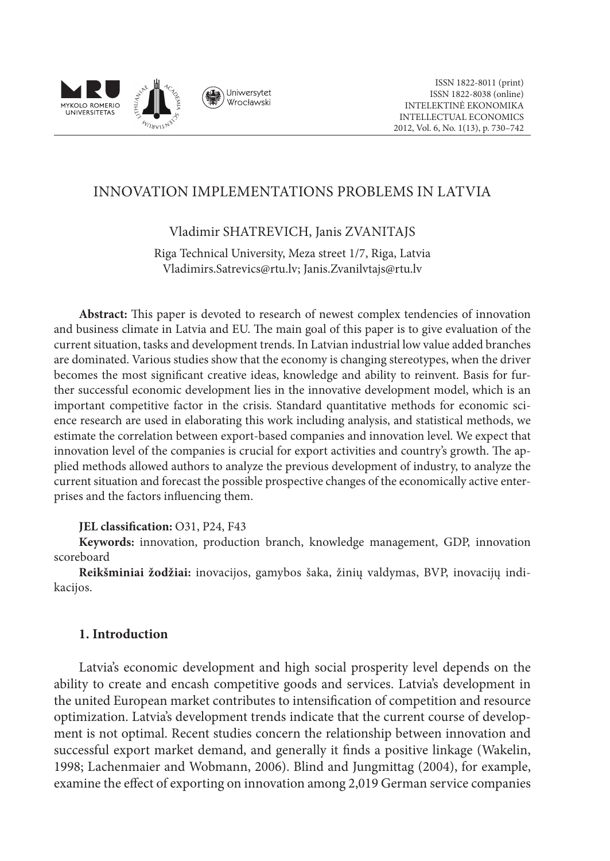

# INNOVATION IMPLEMENTATIONS PROBLEMS IN LATVIA

## Vladimir SHATREVICH, Janis ZVANITAJS

Riga Technical University, Meza street 1/7, Riga, Latvia Vladimirs.Satrevics@rtu.lv; Janis.Zvanilvtajs@rtu.lv

**Abstract:** This paper is devoted to research of newest complex tendencies of innovation and business climate in Latvia and EU. The main goal of this paper is to give evaluation of the current situation, tasks and development trends. In Latvian industrial low value added branches are dominated. Various studies show that the economy is changing stereotypes, when the driver becomes the most significant creative ideas, knowledge and ability to reinvent. Basis for further successful economic development lies in the innovative development model, which is an important competitive factor in the crisis. Standard quantitative methods for economic science research are used in elaborating this work including analysis, and statistical methods, we estimate the correlation between export-based companies and innovation level. We expect that innovation level of the companies is crucial for export activities and country's growth. The applied methods allowed authors to analyze the previous development of industry, to analyze the current situation and forecast the possible prospective changes of the economically active enterprises and the factors influencing them.

## **JEL classification:** O31, P24, F43

**Keywords:** innovation, production branch, knowledge management, GDP, innovation scoreboard

**Reikšminiai žodžiai:** inovacijos, gamybos šaka, žinių valdymas, BVP, inovacijų indikacijos.

## **1. Introduction**

Latvia's economic development and high social prosperity level depends on the ability to create and encash competitive goods and services. Latvia's development in the united European market contributes to intensification of competition and resource optimization. Latvia's development trends indicate that the current course of development is not optimal. Recent studies concern the relationship between innovation and successful export market demand, and generally it finds a positive linkage (Wakelin, 1998; Lachenmaier and Wobmann, 2006). Blind and Jungmittag (2004), for example, examine the effect of exporting on innovation among 2,019 German service companies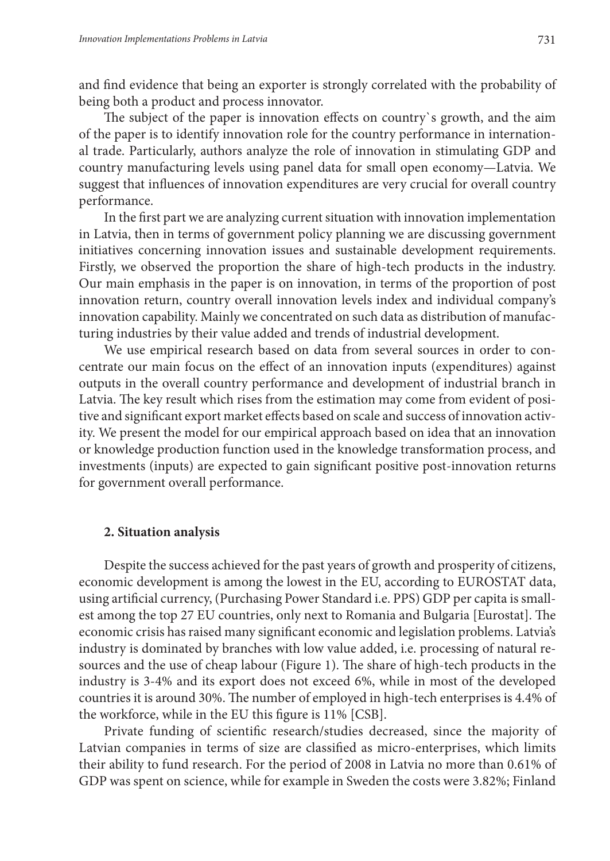and find evidence that being an exporter is strongly correlated with the probability of being both a product and process innovator.

The subject of the paper is innovation effects on country`s growth, and the aim of the paper is to identify innovation role for the country performance in international trade. Particularly, authors analyze the role of innovation in stimulating GDP and country manufacturing levels using panel data for small open economy—Latvia. We suggest that influences of innovation expenditures are very crucial for overall country performance.

In the first part we are analyzing current situation with innovation implementation in Latvia, then in terms of government policy planning we are discussing government initiatives concerning innovation issues and sustainable development requirements. Firstly, we observed the proportion the share of high-tech products in the industry. Our main emphasis in the paper is on innovation, in terms of the proportion of post innovation return, country overall innovation levels index and individual company's innovation capability. Mainly we concentrated on such data as distribution of manufacturing industries by their value added and trends of industrial development.

We use empirical research based on data from several sources in order to concentrate our main focus on the effect of an innovation inputs (expenditures) against outputs in the overall country performance and development of industrial branch in Latvia. The key result which rises from the estimation may come from evident of positive and significant export market effects based on scale and success of innovation activity. We present the model for our empirical approach based on idea that an innovation or knowledge production function used in the knowledge transformation process, and investments (inputs) are expected to gain significant positive post-innovation returns for government overall performance.

### **2. Situation analysis**

Despite the success achieved for the past years of growth and prosperity of citizens, economic development is among the lowest in the EU, according to EUROSTAT data, using artificial currency, (Purchasing Power Standard i.e. PPS) GDP per capita is smallest among the top 27 EU countries, only next to Romania and Bulgaria [Eurostat]. The economic crisis has raised many significant economic and legislation problems. Latvia's industry is dominated by branches with low value added, i.e. processing of natural resources and the use of cheap labour (Figure 1). The share of high-tech products in the industry is 3-4% and its export does not exceed 6%, while in most of the developed countries it is around 30%. The number of employed in high-tech enterprises is 4.4% of the workforce, while in the EU this figure is 11% [CSB].

Private funding of scientific research/studies decreased, since the majority of Latvian companies in terms of size are classified as micro-enterprises, which limits their ability to fund research. For the period of 2008 in Latvia no more than 0.61% of GDP was spent on science, while for example in Sweden the costs were 3.82%; Finland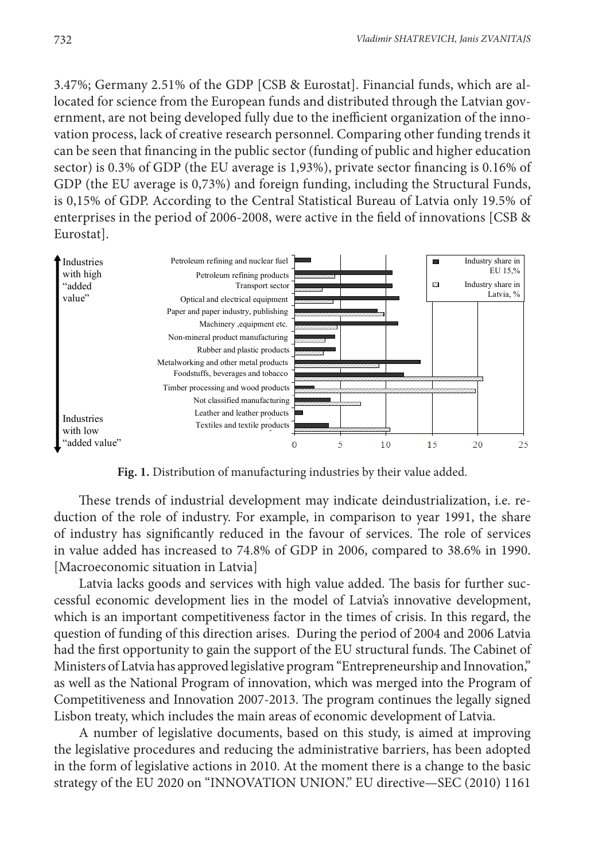3.47%; Germany 2.51% of the GDP [CSB & Eurostat]. Financial funds, which are al located for science from the European funds and distributed through the Latvian government, are not being developed fully due to the inefficient organization of the inno vation process, lack of creative research personnel. Comparing other funding trends it can be seen that financing in the public sector (funding of public and higher education sector) is 0.3% of GDP (the EU average is 1,93%), private sector financing is 0.16% of GDP (the EU average is 0,73%) and foreign funding, including the Structural Funds, is 0,15% of GDP. According to the Central Statistical Bureau of Latvia only 19.5% of enterprises in the period of 2006-2008, were active in the field of innovations [CSB & Eurostat]. focated for science from the European funds and distributed through the Latvian gov $sec<sub>1</sub>$ 



**Fig. 1.** Distribution of manufacturing industries by their value added.

These trends of industrial development may indicate deindustrialization, i.e. reduction of the role of industry. For example, in comparison to year 1991, the share of industry has significantly reduced in the favour of services. The role of services in value added has increased to 74.8% of GDP in 2006, compared to 38.6% in 1990. [Macroeconomic situation in Latvia]

Latvia lacks goods and services with high value added. The basis for further successful economic development lies in the model of Latvia's innovative development, which is an important competitiveness factor in the times of crisis. In this regard, the question of funding of this direction arises. During the period of 2004 and 2006 Latvia had the first opportunity to gain the support of the EU structural funds. The Cabinet of Ministers of Latvia has approved legislative program "Entrepreneurship and Innovation," as well as the National Program of innovation, which was merged into the Program of Competitiveness and Innovation 2007-2013. The program continues the legally signed Lisbon treaty, which includes the main areas of economic development of Latvia.

A number of legislative documents, based on this study, is aimed at improving the legislative procedures and reducing the administrative barriers, has been adopted in the form of legislative actions in 2010. At the moment there is a change to the basic strategy of the EU 2020 on "INNOVATION UNION." EU directive—SEC (2010) 1161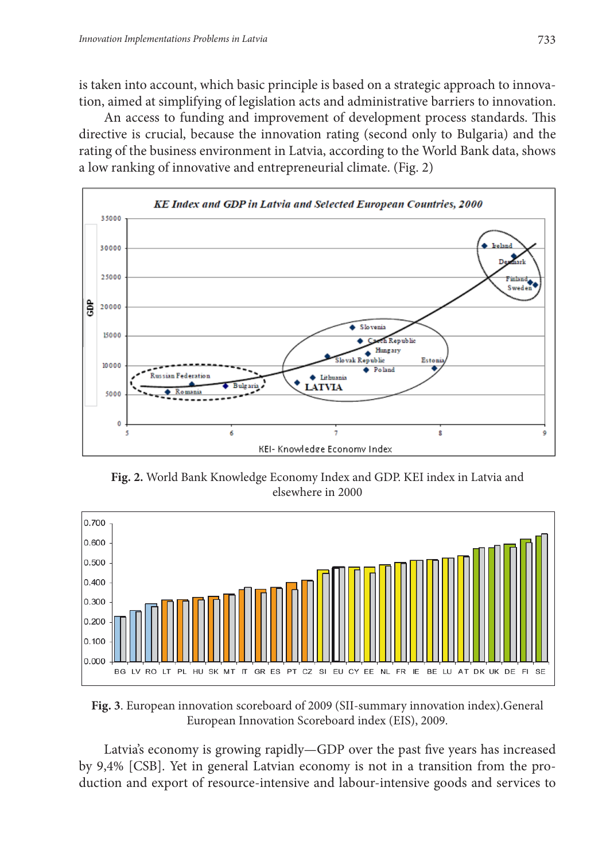is taken into account, which basic principle is based on a strategic approach to innovation, aimed at simplifying of legislation acts and administrative barriers to innovation.

An access to funding and improvement of development process standards. This directive is crucial, because the innovation rating (second only to Bulgaria) and the rating of the business environment in Latvia, according to the World Bank data, shows a low ranking of innovative and entrepreneurial climate. (Fig. 2)



 **Fig. 2.** World Bank Knowledge Economy Index and GDP. KEI index in Latvia and elsewhere in 2000



 **Fig. 3**. European innovation scoreboard of 2009 (SII-summary innovation index).General European Innovation Scoreboard index (EIS), 2009.

Latvia's economy is growing rapidly—GDP over the past five years has increased by 9,4% [CSB]. Yet in general Latvian economy is not in a transition from the production and export of resource-intensive and labour-intensive goods and services to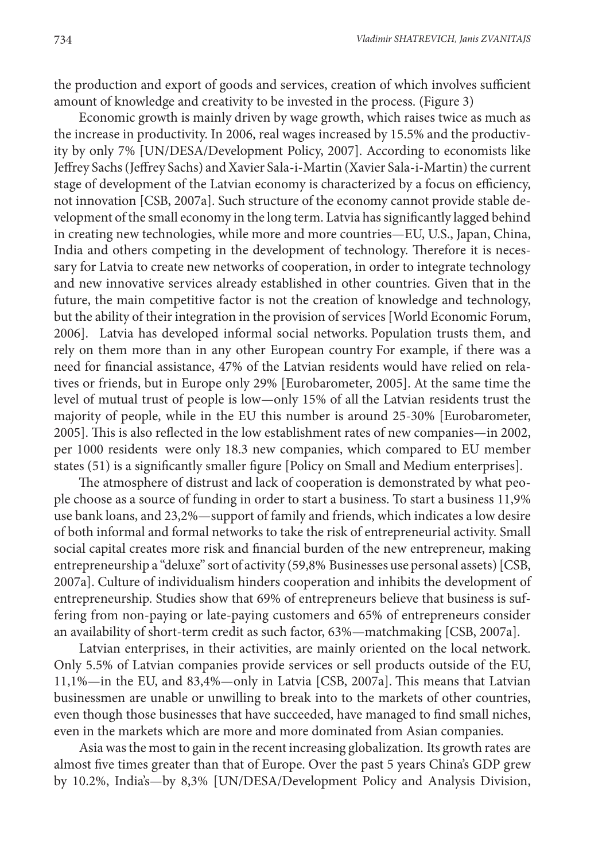the production and export of goods and services, creation of which involves sufficient amount of knowledge and creativity to be invested in the process. (Figure 3)

Economic growth is mainly driven by wage growth, which raises twice as much as the increase in productivity. In 2006, real wages increased by 15.5% and the productivity by only 7% [UN/DESA/Development Policy, 2007]. According to economists like Jeffrey Sachs (Jeffrey Sachs) and Xavier Sala-i-Martin (Xavier Sala-i-Martin) the current stage of development of the Latvian economy is characterized by a focus on efficiency, not innovation [CSB, 2007a]. Such structure of the economy cannot provide stable development of the small economy in the long term. Latvia has significantly lagged behind in creating new technologies, while more and more countries—EU, U.S., Japan, China, India and others competing in the development of technology. Therefore it is necessary for Latvia to create new networks of cooperation, in order to integrate technology and new innovative services already established in other countries. Given that in the future, the main competitive factor is not the creation of knowledge and technology, but the ability of their integration in the provision of services [World Economic Forum, 2006]. Latvia has developed informal social networks. Population trusts them, and rely on them more than in any other European country For example, if there was a need for financial assistance, 47% of the Latvian residents would have relied on relatives or friends, but in Europe only 29% [Eurobarometer, 2005]. At the same time the level of mutual trust of people is low—only 15% of all the Latvian residents trust the majority of people, while in the EU this number is around 25-30% [Eurobarometer, 2005]. This is also reflected in the low establishment rates of new companies—in 2002, per 1000 residents were only 18.3 new companies, which compared to EU member states (51) is a significantly smaller figure [Policy on Small and Medium enterprises].

The atmosphere of distrust and lack of cooperation is demonstrated by what people choose as a source of funding in order to start a business. To start a business 11,9% use bank loans, and 23,2%—support of family and friends, which indicates a low desire of both informal and formal networks to take the risk of entrepreneurial activity. Small social capital creates more risk and financial burden of the new entrepreneur, making entrepreneurship a "deluxe" sort of activity (59,8% Businesses use personal assets) [CSB, 2007a]. Culture of individualism hinders cooperation and inhibits the development of entrepreneurship. Studies show that 69% of entrepreneurs believe that business is suffering from non-paying or late-paying customers and 65% of entrepreneurs consider an availability of short-term credit as such factor, 63%—matchmaking [CSB, 2007a].

Latvian enterprises, in their activities, are mainly oriented on the local network. Only 5.5% of Latvian companies provide services or sell products outside of the EU, 11,1%—in the EU, and 83,4%—only in Latvia [CSB, 2007a]. This means that Latvian businessmen are unable or unwilling to break into to the markets of other countries, even though those businesses that have succeeded, have managed to find small niches, even in the markets which are more and more dominated from Asian companies.

Asia was the most to gain in the recent increasing globalization. Its growth rates are almost five times greater than that of Europe. Over the past 5 years China's GDP grew by 10.2%, India's—by 8,3% [UN/DESA/Development Policy and Analysis Division,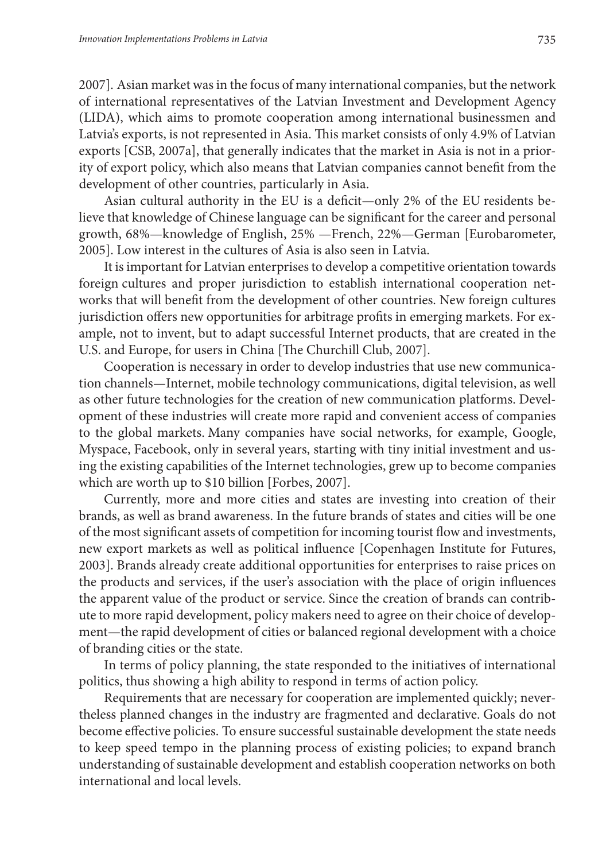2007]. Asian market was in the focus of many international companies, but the network of international representatives of the Latvian Investment and Development Agency (LIDA), which aims to promote cooperation among international businessmen and Latvia's exports, is not represented in Asia. This market consists of only 4.9% of Latvian exports [CSB, 2007a], that generally indicates that the market in Asia is not in a priority of export policy, which also means that Latvian companies cannot benefit from the development of other countries, particularly in Asia.

Asian cultural authority in the EU is a deficit—only 2% of the EU residents believe that knowledge of Chinese language can be significant for the career and personal growth, 68%—knowledge of English, 25% —French, 22%—German [Eurobarometer, 2005]. Low interest in the cultures of Asia is also seen in Latvia.

It is important for Latvian enterprises to develop a competitive orientation towards foreign cultures and proper jurisdiction to establish international cooperation networks that will benefit from the development of other countries. New foreign cultures jurisdiction offers new opportunities for arbitrage profits in emerging markets. For example, not to invent, but to adapt successful Internet products, that are created in the U.S. and Europe, for users in China [The Churchill Club, 2007].

Cooperation is necessary in order to develop industries that use new communication channels—Internet, mobile technology communications, digital television, as well as other future technologies for the creation of new communication platforms. Development of these industries will create more rapid and convenient access of companies to the global markets. Many companies have social networks, for example, Google, Myspace, Facebook, only in several years, starting with tiny initial investment and using the existing capabilities of the Internet technologies, grew up to become companies which are worth up to \$10 billion [Forbes, 2007].

Currently, more and more cities and states are investing into creation of their brands, as well as brand awareness. In the future brands of states and cities will be one of the most significant assets of competition for incoming tourist flow and investments, new export markets as well as political influence [Copenhagen Institute for Futures, 2003]. Brands already create additional opportunities for enterprises to raise prices on the products and services, if the user's association with the place of origin influences the apparent value of the product or service. Since the creation of brands can contribute to more rapid development, policy makers need to agree on their choice of development—the rapid development of cities or balanced regional development with a choice of branding cities or the state.

In terms of policy planning, the state responded to the initiatives of international politics, thus showing a high ability to respond in terms of action policy.

Requirements that are necessary for cooperation are implemented quickly; nevertheless planned changes in the industry are fragmented and declarative. Goals do not become effective policies. To ensure successful sustainable development the state needs to keep speed tempo in the planning process of existing policies; to expand branch understanding of sustainable development and establish cooperation networks on both international and local levels.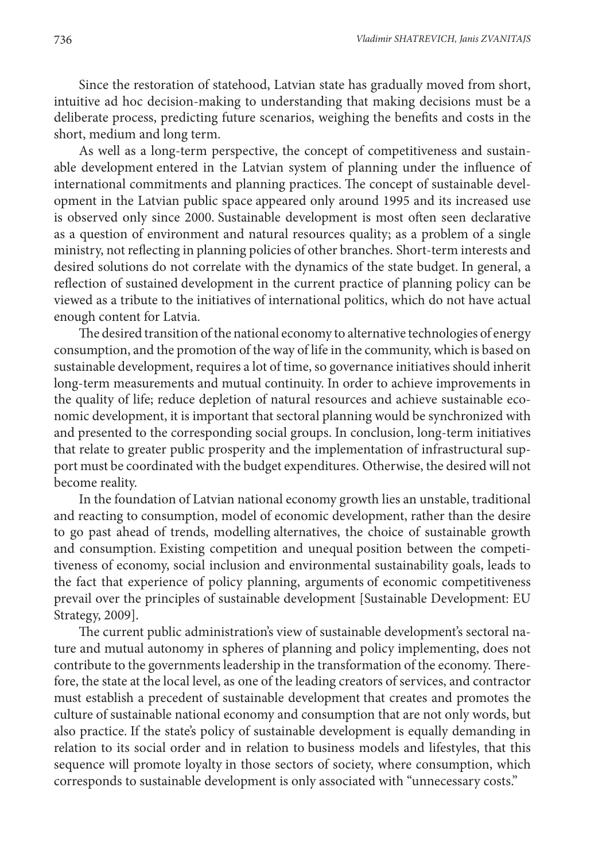Since the restoration of statehood, Latvian state has gradually moved from short, intuitive ad hoc decision-making to understanding that making decisions must be a deliberate process, predicting future scenarios, weighing the benefits and costs in the short, medium and long term.

As well as a long-term perspective, the concept of competitiveness and sustainable development entered in the Latvian system of planning under the influence of international commitments and planning practices. The concept of sustainable development in the Latvian public space appeared only around 1995 and its increased use is observed only since 2000. Sustainable development is most often seen declarative as a question of environment and natural resources quality; as a problem of a single ministry, not reflecting in planning policies of other branches. Short-term interests and desired solutions do not correlate with the dynamics of the state budget. In general, a reflection of sustained development in the current practice of planning policy can be viewed as a tribute to the initiatives of international politics, which do not have actual enough content for Latvia.

The desired transition of the national economy to alternative technologies of energy consumption, and the promotion of the way of life in the community, which is based on sustainable development, requires a lot of time, so governance initiatives should inherit long-term measurements and mutual continuity. In order to achieve improvements in the quality of life; reduce depletion of natural resources and achieve sustainable economic development, it is important that sectoral planning would be synchronized with and presented to the corresponding social groups. In conclusion, long-term initiatives that relate to greater public prosperity and the implementation of infrastructural support must be coordinated with the budget expenditures. Otherwise, the desired will not become reality.

In the foundation of Latvian national economy growth lies an unstable, traditional and reacting to consumption, model of economic development, rather than the desire to go past ahead of trends, modelling alternatives, the choice of sustainable growth and consumption. Existing competition and unequal position between the competitiveness of economy, social inclusion and environmental sustainability goals, leads to the fact that experience of policy planning, arguments of economic competitiveness prevail over the principles of sustainable development [Sustainable Development: EU Strategy, 2009].

The current public administration's view of sustainable development's sectoral nature and mutual autonomy in spheres of planning and policy implementing, does not contribute to the governments leadership in the transformation of the economy. Therefore, the state at the local level, as one of the leading creators of services, and contractor must establish a precedent of sustainable development that creates and promotes the culture of sustainable national economy and consumption that are not only words, but also practice. If the state's policy of sustainable development is equally demanding in relation to its social order and in relation to business models and lifestyles, that this sequence will promote loyalty in those sectors of society, where consumption, which corresponds to sustainable development is only associated with "unnecessary costs."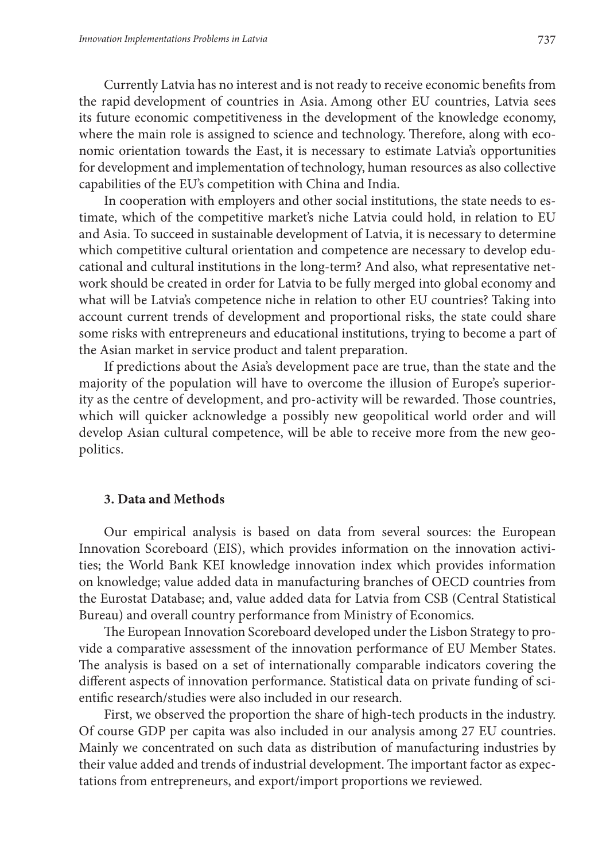Currently Latvia has no interest and is not ready to receive economic benefits from the rapid development of countries in Asia. Among other EU countries, Latvia sees its future economic competitiveness in the development of the knowledge economy, where the main role is assigned to science and technology. Therefore, along with economic orientation towards the East, it is necessary to estimate Latvia's opportunities for development and implementation of technology, human resources as also collective capabilities of the EU's competition with China and India.

In cooperation with employers and other social institutions, the state needs to estimate, which of the competitive market's niche Latvia could hold, in relation to EU and Asia. To succeed in sustainable development of Latvia, it is necessary to determine which competitive cultural orientation and competence are necessary to develop educational and cultural institutions in the long-term? And also, what representative network should be created in order for Latvia to be fully merged into global economy and what will be Latvia's competence niche in relation to other EU countries? Taking into account current trends of development and proportional risks, the state could share some risks with entrepreneurs and educational institutions, trying to become a part of the Asian market in service product and talent preparation.

If predictions about the Asia's development pace are true, than the state and the majority of the population will have to overcome the illusion of Europe's superiority as the centre of development, and pro-activity will be rewarded. Those countries, which will quicker acknowledge a possibly new geopolitical world order and will develop Asian cultural competence, will be able to receive more from the new geopolitics.

### **3. Data and Methods**

Our empirical analysis is based on data from several sources: the European Innovation Scoreboard (EIS), which provides information on the innovation activities; the World Bank KEI knowledge innovation index which provides information on knowledge; value added data in manufacturing branches of OECD countries from the Eurostat Database; and, value added data for Latvia from CSB (Central Statistical Bureau) and overall country performance from Ministry of Economics.

The European Innovation Scoreboard developed under the Lisbon Strategy to provide a comparative assessment of the innovation performance of EU Member States. The analysis is based on a set of internationally comparable indicators covering the different aspects of innovation performance. Statistical data on private funding of scientific research/studies were also included in our research.

First, we observed the proportion the share of high-tech products in the industry. Of course GDP per capita was also included in our analysis among 27 EU countries. Mainly we concentrated on such data as distribution of manufacturing industries by their value added and trends of industrial development. The important factor as expectations from entrepreneurs, and export/import proportions we reviewed.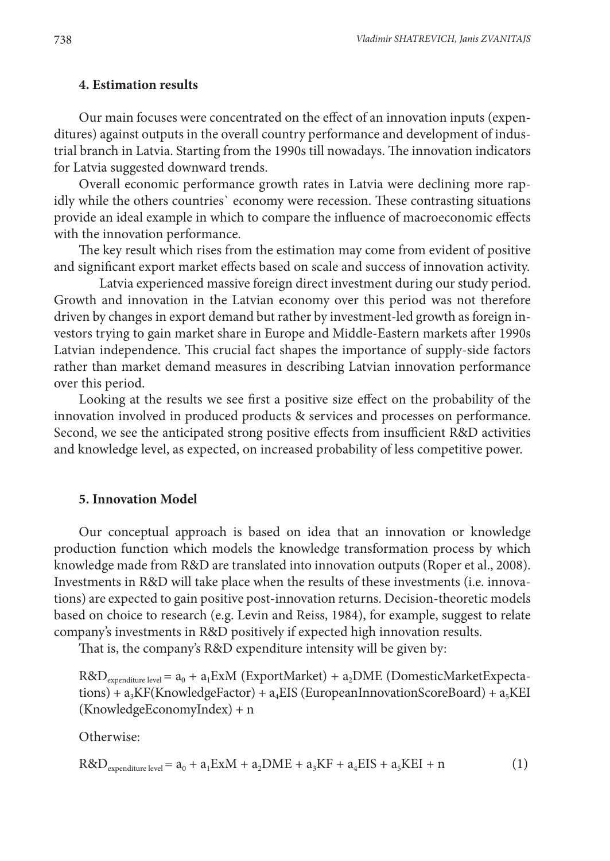## **4. Estimation results**

Our main focuses were concentrated on the effect of an innovation inputs (expenditures) against outputs in the overall country performance and development of industrial branch in Latvia. Starting from the 1990s till nowadays. The innovation indicators for Latvia suggested downward trends.

Overall economic performance growth rates in Latvia were declining more rapidly while the others countries` economy were recession. These contrasting situations provide an ideal example in which to compare the influence of macroeconomic effects with the innovation performance.

The key result which rises from the estimation may come from evident of positive and significant export market effects based on scale and success of innovation activity.

Latvia experienced massive foreign direct investment during our study period. Growth and innovation in the Latvian economy over this period was not therefore driven by changes in export demand but rather by investment-led growth as foreign investors trying to gain market share in Europe and Middle-Eastern markets after 1990s Latvian independence. This crucial fact shapes the importance of supply-side factors rather than market demand measures in describing Latvian innovation performance over this period.

Looking at the results we see first a positive size effect on the probability of the innovation involved in produced products & services and processes on performance. Second, we see the anticipated strong positive effects from insufficient R&D activities and knowledge level, as expected, on increased probability of less competitive power.

#### **5. Innovation Model**

Our conceptual approach is based on idea that an innovation or knowledge production function which models the knowledge transformation process by which knowledge made from R&D are translated into innovation outputs (Rоper et al., 2008). Investments in R&D will take place when the results of these investments (i.e. innovations) are expected to gain positive post-innovation returns. Decision-theoretic models based on choice to research (e.g. Lеvin and Rеiss, 1984), for example, suggest to relate company's investments in R&D positively if expected high innovation results.

That is, the company's R&D expenditure intensity will be given by:

 $R&D_{\text{expenditure level}} = a_0 + a_1 ExM$  (ExportMarket) +  $a_2 DME$  (DomesticMarketExpecta $tions$ ) +  $a_3KF(KnowledgeFactor) + a_4EIS$  (EuropeanInnovationScoreBoard) +  $a_5KEI$ (KnowledgeEconomyIndex) + n

Otherwise:

 $R&D_{\text{expenditure level}} = a_0 + a_1 ExM + a_2 DME + a_3 KF + a_4 EIS + a_5 KEI + n$  (1)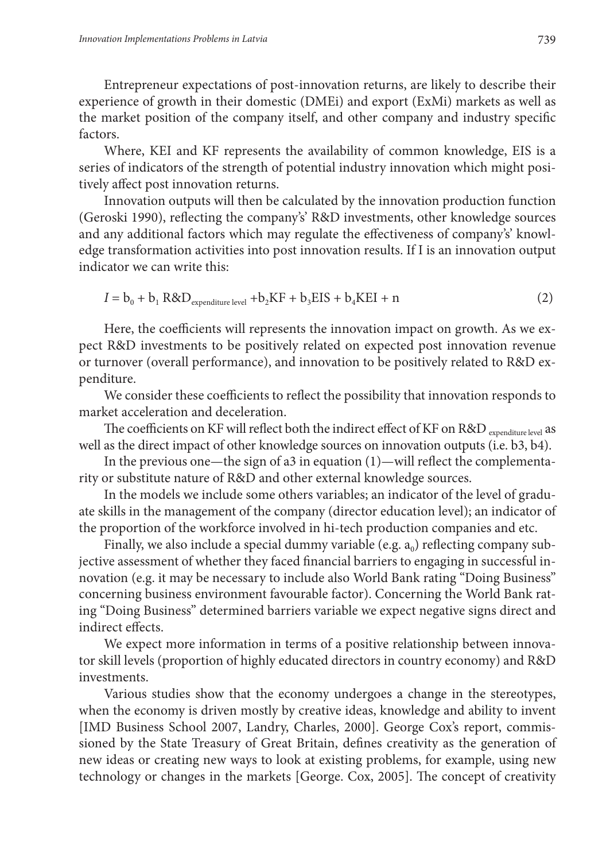Entrepreneur expectations of post-innovation returns, are likely to describe their experience of growth in their domestic (DMEi) and export (ExMi) markets as well as the market position of the company itself, and other company and industry specific factors.

Where, KEI and KF represents the availability of common knowledge, EIS is a series of indicators of the strength of potential industry innovation which might positively affect post innovation returns.

Innovation outputs will then be calculated by the innovation production function (Geroski 1990), reflecting the company's' R&D investments, other knowledge sources and any additional factors which may regulate the effectiveness of company's' knowledge transformation activities into post innovation results. If I is an innovation output indicator we can write this:

$$
I = b_0 + b_1 R \& D_{\text{expenditure level}} + b_2 KF + b_3 EIS + b_4 KEI + n \tag{2}
$$

Here, the coefficients will represents the innovation impact on growth. As we expect R&D investments to be positively related on expected post innovation revenue or turnover (overall performance), and innovation to be positively related to R&D expenditure.

We consider these coefficients to reflect the possibility that innovation responds to market acceleration and deceleration.

The coefficients on KF will reflect both the indirect effect of KF on R&D expenditure level as well as the direct impact of other knowledge sources on innovation outputs (i.e. b3, b4).

In the previous one—the sign of a3 in equation (1)—will reflect the complementarity or substitute nature of R&D and other external knowledge sources.

In the models we include some others variables; an indicator of the level of graduate skills in the management of the company (director education level); an indicator of the proportion of the workforce involved in hi-tech production companies and etc.

Finally, we also include a special dummy variable (e.g.  $a_0$ ) reflecting company subjective assessment of whether they faced financial barriers to engaging in successful innovation (e.g. it may be necessary to include also World Bank rating "Doing Business" concerning business environment favourable factor). Concerning the World Bank rating "Doing Business" determined barriers variable we expect negative signs direct and indirect effects.

We expect more information in terms of a positive relationship between innovator skill levels (proportion of highly educated directors in country economy) and R&D investments.

Various studies show that the economy undergoes a change in the stereotypes, when the economy is driven mostly by creative ideas, knowledge and ability to invent [IMD Business School 2007, Landry, Charles, 2000]. George Cox's report, commissioned by the State Treasury of Great Britain, defines creativity as the generation of new ideas or creating new ways to look at existing problems, for example, using new technology or changes in the markets [George. Cox, 2005]. The concept of creativity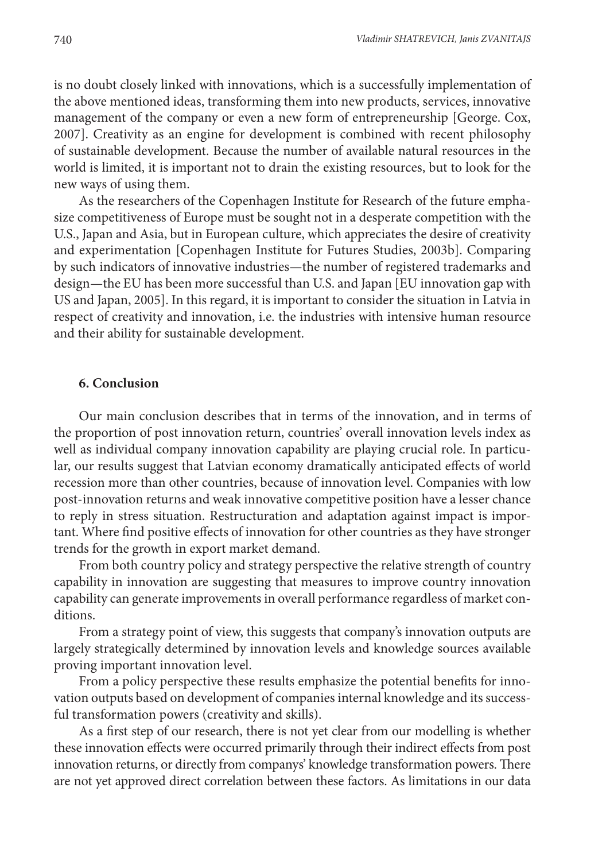is no doubt closely linked with innovations, which is a successfully implementation of the above mentioned ideas, transforming them into new products, services, innovative management of the company or even a new form of entrepreneurship [George. Cox, 2007]. Creativity as an engine for development is combined with recent philosophy of sustainable development. Because the number of available natural resources in the world is limited, it is important not to drain the existing resources, but to look for the new ways of using them.

As the researchers of the Copenhagen Institute for Research of the future emphasize competitiveness of Europe must be sought not in a desperate competition with the U.S., Japan and Asia, but in European culture, which appreciates the desire of creativity and experimentation [Copenhagen Institute for Futures Studies, 2003b]. Comparing by such indicators of innovative industries—the number of registered trademarks and design—the EU has been more successful than U.S. and Japan [EU innovation gap with US and Japan, 2005]. In this regard, it is important to consider the situation in Latvia in respect of creativity and innovation, i.e. the industries with intensive human resource and their ability for sustainable development.

## **6. Conclusion**

Our main conclusion describes that in terms of the innovation, and in terms of the proportion of post innovation return, countries' overall innovation levels index as well as individual company innovation capability are playing crucial role. In particular, our results suggest that Latvian economy dramatically anticipated effects of world recession more than other countries, because of innovation level. Companies with low post-innovation returns and weak innovative competitive position have a lesser chance to reply in stress situation. Restructuration and adaptation against impact is important. Where find positive effects of innovation for other countries as they have stronger trends for the growth in export market demand.

From both country policy and strategy perspective the relative strength of country capability in innovation are suggesting that measures to improve country innovation capability can generate improvements in overall performance regardless of market conditions.

From a strategy point of view, this suggests that company's innovation outputs are largely strategically determined by innovation levels and knowledge sources available proving important innovation level.

From a policy perspective these results emphasize the potential benefits for innovation outputs based on development of companies internal knowledge and its successful transformation powers (creativity and skills).

As a first step of our research, there is not yet clear from our modelling is whether these innovation effects were occurred primarily through their indirect effects from post innovation returns, or directly from companys' knowledge transformation powers. There are not yet approved direct correlation between these factors. As limitations in our data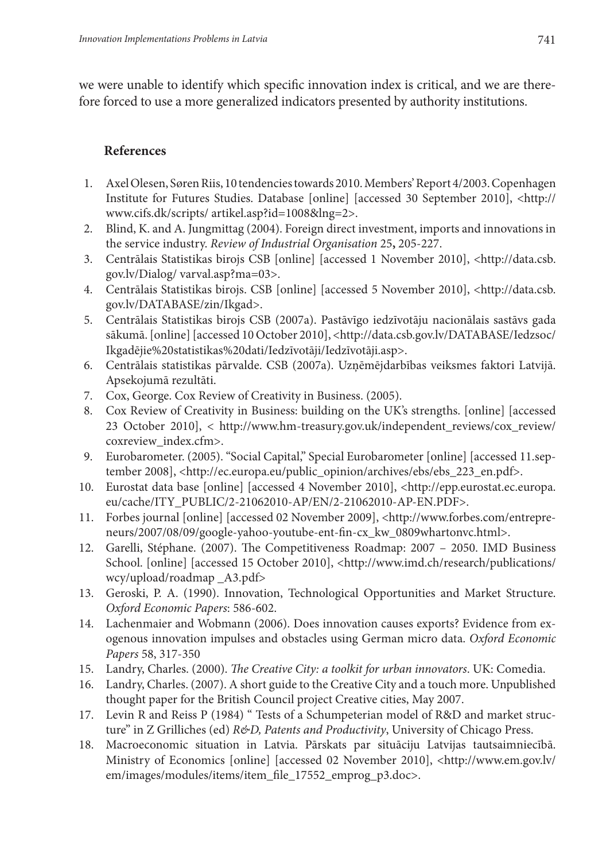we were unable to identify which specific innovation index is critical, and we are therefore forced to use a more generalized indicators presented by authority institutions.

## **References**

- 1. Axel Olesen, Søren Riis, 10 tendencies towards 2010. Members' Report 4/2003. Copenhagen Institute for Futures Studies. Database [online] [accessed 30 September 2010], <http:// www.cifs.dk/scripts/ artikel.asp?id=1008&lng=2>.
- 2. Blind, K. and A. Jungmittag (2004). Foreign direct investment, imports and innovations in the service industry. *Review of Industrial Organisation* 25**,** 205-227.
- 3. Centrālais Statistikas birojs CSB [online] [accessed 1 November 2010], <http://data.csb. gov.lv/Dialog/ varval.asp?ma=03>.
- 4. Centrālais Statistikas birojs. CSB [online] [accessed 5 November 2010], <http://data.csb. gov.lv/DATABASE/zin/Ikgad>.
- 5. Centrālais Statistikas birojs CSB (2007a). Pastāvīgo iedzīvotāju nacionālais sastāvs gada sākumā. [online] [accessed 10 October 2010], <http://data.csb.gov.lv/DATABASE/Iedzsoc/ Ikgadējie%20statistikas%20dati/Iedzīvotāji/Iedzīvotāji.asp>.
- 6. Centrālais statistikas pārvalde. CSB (2007a). Uzņēmējdarbības veiksmes faktori Latvijā. Apsekojumā rezultāti.
- 7. Cox, George. Cox Review of Creativity in Business. (2005).
- 8. Cox Review of Creativity in Business: building on the UK's strengths. [online] [accessed 23 October 2010], < http://www.hm-treasury.gov.uk/independent\_reviews/cox\_review/ coxreview\_index.cfm>.
- 9. Eurobarometer. (2005). "Social Capital," Special Eurobarometer [online] [accessed 11.september 2008], <http://ec.europa.eu/public\_opinion/archives/ebs/ebs 223\_en.pdf>.
- 10. Eurostat data base [online] [accessed 4 November 2010], <http://epp.eurostat.ec.europa. eu/cache/ITY\_PUBLIC/2-21062010-AP/EN/2-21062010-AP-EN.PDF>.
- 11. Forbes journal [online] [accessed 02 November 2009], <http://www.forbes.com/entrepreneurs/2007/08/09/google-yahoo-youtube-ent-fin-cx\_kw\_0809whartonvc.html>.
- 12. Garelli, Stéphane. (2007). The Competitiveness Roadmap: 2007 2050. IMD Business School. [online] [accessed 15 October 2010], <http://www.imd.ch/research/publications/ wcy/upload/roadmap \_A3.pdf>
- 13. Geroski, P. A. (1990). Innovation, Technological Opportunities and Market Structure. *Oxford Economic Papers*: 586-602.
- 14. Lachenmaier and Wobmann (2006). Does innovation causes exports? Evidence from exogenous innovation impulses and obstacles using German micro data. *Oxford Economic Papers* 58, 317-350
- 15. Landry, Charles. (2000). *The Creative City: a toolkit for urban innovators*. UK: Comedia.
- 16. Landry, Charles. (2007). A short guide to the Creative City and a touch more. Unpublished thought paper for the British Council project Creative cities, May 2007.
- 17. Levin R and Reiss P (1984) " Tests of a Schumpeterian model of R&D and market structure" in Z Grilliches (ed) *R&D, Patents and Productivity*, University of Chicago Press.
- 18. Macroeconomic situation in Latvia. Pārskats par situāciju Latvijas tautsaimniecībā. Ministry of Economics [online] [accessed 02 November 2010], <http://www.em.gov.lv/ em/images/modules/items/item\_file\_17552\_emprog\_p3.doc>.